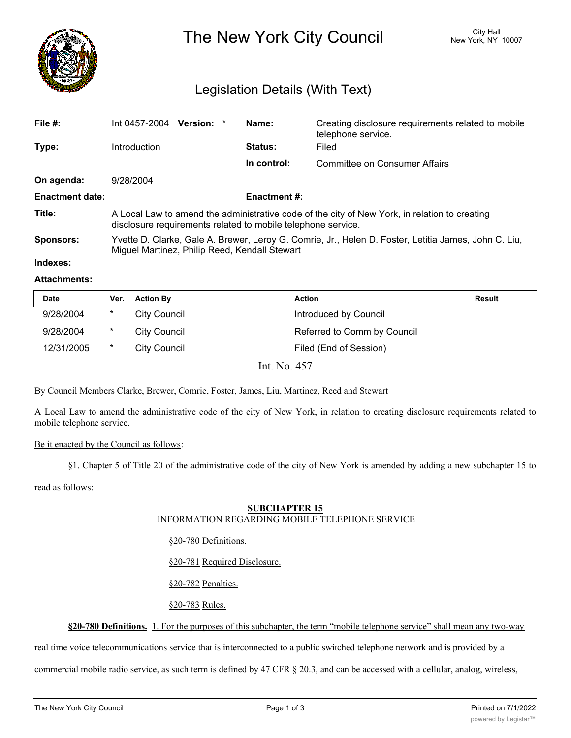

The New York City Council New York, NY 10007

# Legislation Details (With Text)

| File $#$ :             | Int 0457-2004                                                                                                                                                 | Version: * |  | Name:               | Creating disclosure requirements related to mobile<br>telephone service. |  |
|------------------------|---------------------------------------------------------------------------------------------------------------------------------------------------------------|------------|--|---------------------|--------------------------------------------------------------------------|--|
| Type:                  | Introduction                                                                                                                                                  |            |  | <b>Status:</b>      | Filed                                                                    |  |
|                        |                                                                                                                                                               |            |  | In control:         | <b>Committee on Consumer Affairs</b>                                     |  |
| On agenda:             | 9/28/2004                                                                                                                                                     |            |  |                     |                                                                          |  |
| <b>Enactment date:</b> |                                                                                                                                                               |            |  | <b>Enactment #:</b> |                                                                          |  |
| Title:                 | A Local Law to amend the administrative code of the city of New York, in relation to creating<br>disclosure requirements related to mobile telephone service. |            |  |                     |                                                                          |  |
| Sponsors:              | Yvette D. Clarke, Gale A. Brewer, Leroy G. Comrie, Jr., Helen D. Foster, Letitia James, John C. Liu,<br>Miguel Martinez, Philip Reed, Kendall Stewart         |            |  |                     |                                                                          |  |
| Indexes:               |                                                                                                                                                               |            |  |                     |                                                                          |  |

#### **Attachments:**

| <b>Date</b> | Ver.     | <b>Action By</b>    | <b>Action</b>               | Result |
|-------------|----------|---------------------|-----------------------------|--------|
| 9/28/2004   | $\ast$   | City Council        | Introduced by Council       |        |
| 9/28/2004   | $^\star$ | <b>City Council</b> | Referred to Comm by Council |        |
| 12/31/2005  | *        | City Council        | Filed (End of Session)      |        |

Int. No. 457

By Council Members Clarke, Brewer, Comrie, Foster, James, Liu, Martinez, Reed and Stewart

A Local Law to amend the administrative code of the city of New York, in relation to creating disclosure requirements related to mobile telephone service.

# Be it enacted by the Council as follows:

§1. Chapter 5 of Title 20 of the administrative code of the city of New York is amended by adding a new subchapter 15 to

read as follows:

# **SUBCHAPTER 15**

### INFORMATION REGARDING MOBILE TELEPHONE SERVICE

§20-780 Definitions.

§20-781 Required Disclosure.

§20-782 Penalties.

§20-783 Rules.

**§20-780 Definitions.** 1. For the purposes of this subchapter, the term "mobile telephone service" shall mean any two-way

real time voice telecommunications service that is interconnected to a public switched telephone network and is provided by a

commercial mobile radio service, as such term is defined by 47 CFR § 20.3, and can be accessed with a cellular, analog, wireless,